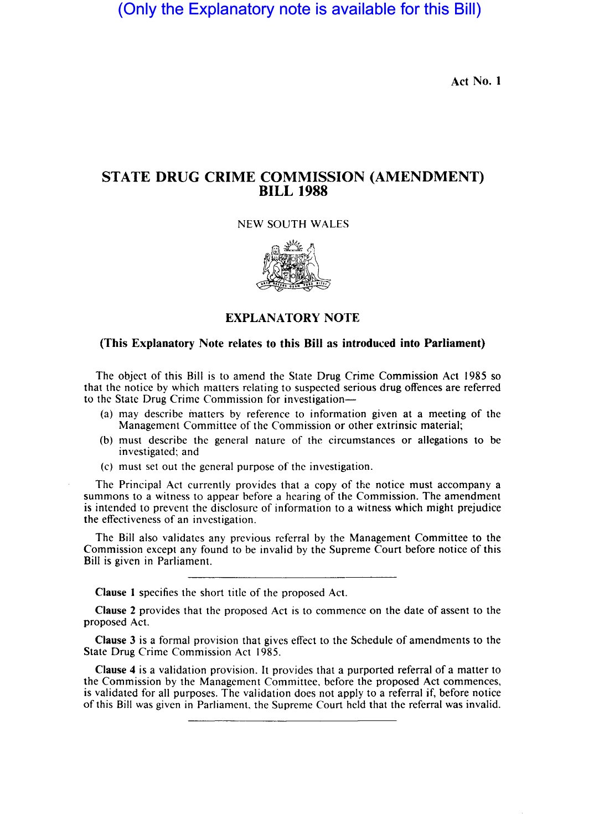(Only the Explanatory note is available for this Bill)

Act No. 1

## STATE DRUG CRIME COMMISSION (AMENDMENT) BILL 1988

NEW SOUTH WALES



EXPLANATORY NOTE

## (This Explanatory Note relates to this Bill as introduced into Parliament)

The object of this Bill is to amend the State Drug Crime Commission Act 1985 so that the notice by which matters relating to suspected serious drug offences are referred to the State Drug Crime Commission for investigation-

- (a) may describe matters by reference to information given at a meeting of the Management Committee of the Commission or other extrinsic material;
- (b) must describe the general nature of the circumstances or allegations to be investigated; and
- (c) must set out the general purpose of the investigation.

The Principal Act currently provides that a copy of the notice must accompany a summons to a witness to appear before a hearing of the Commission. The amendment is intended to prevent the disclosure of information to a witness which might prejudice the effectiveness of an investigation.

The Bill also validates any previous referral by the Management Committee to the Commission except any found to be invalid by the Supreme Court before notice of this Bill is given in Parliament.

Clause I specifies the short title of the proposed Act.

Clause 2 provides that the proposed Act is to commence on the date of assent to the proposed Act.

Clause 3 is a formal provision that gives effect to the Schedule of amendments to the State Drug Crime Commission Act 1985.

Clause 4 is a validation provision. It provides that a purported referral of a matter to the Commission by the Management Committee, before the proposed Act commences, is validated for all purposes. The validation does not apply to a referral if, before notice of this Bill was given in Parliament, the Supreme Court held that the referral was invalid.